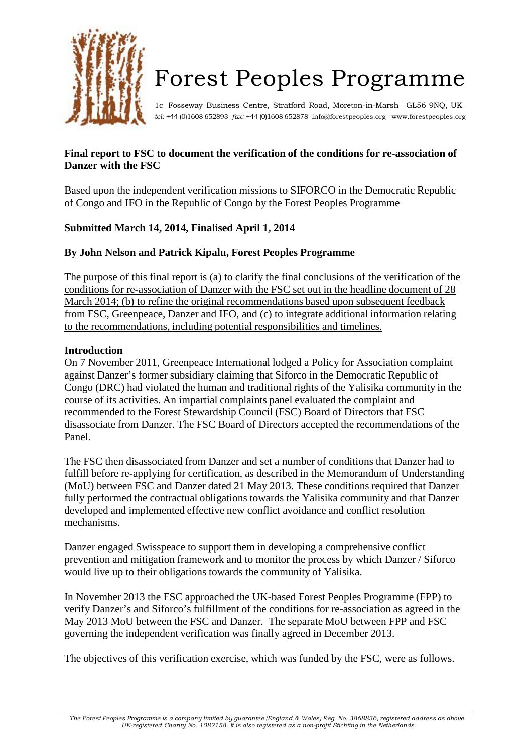

# Forest Peoples Programme

1c Fosseway Business Centre, Stratford Road, Moreton-in-Marsh GL56 9NQ, UK *tel*: +44 (0)1608 652893 *fax:* +44 (0)1608 652878 [info@forestpeoples.org www.forestpeoples.org](mailto:info@forestpeoples.org)

## **Final report to FSC to document the verification of the conditions for re-association of Danzer with the FSC**

Based upon the independent verification missions to SIFORCO in the Democratic Republic of Congo and IFO in the Republic of Congo by the Forest Peoples Programme

# **Submitted March 14, 2014, Finalised April 1, 2014**

## **By John Nelson and Patrick Kipalu, Forest Peoples Programme**

The purpose of this final report is (a) to clarify the final conclusions of the verification of the conditions for re-association of Danzer with the FSC set out in the headline document of 28 March 2014; (b) to refine the original recommendations based upon subsequent feedback from FSC, Greenpeace, Danzer and IFO, and (c) to integrate additional information relating to the recommendations, including potential responsibilities and timelines.

## **Introduction**

On 7 November 2011, Greenpeace International lodged a Policy for Association complaint against Danzer's former subsidiary claiming that Siforco in the Democratic Republic of Congo (DRC) had violated the human and traditional rights of the Yalisika community in the course of its activities. An impartial complaints panel evaluated the complaint and recommended to the Forest Stewardship Council (FSC) Board of Directors that FSC disassociate from Danzer. The FSC Board of Directors accepted the recommendations of the Panel.

The FSC then disassociated from Danzer and set a number of conditions that Danzer had to fulfill before re-applying for certification, as described in the Memorandum of Understanding (MoU) between FSC and Danzer dated 21 May 2013. These conditions required that Danzer fully performed the contractual obligations towards the Yalisika community and that Danzer developed and implemented effective new conflict avoidance and conflict resolution mechanisms.

Danzer engaged Swisspeace to support them in developing a comprehensive conflict prevention and mitigation framework and to monitor the process by which Danzer / Siforco would live up to their obligations towards the community of Yalisika.

In November 2013 the FSC approached the UK-based Forest Peoples Programme (FPP) to verify Danzer's and Siforco's fulfillment of the conditions for re-association as agreed in the May 2013 MoU between the FSC and Danzer. The separate MoU between FPP and FSC governing the independent verification was finally agreed in December 2013.

The objectives of this verification exercise, which was funded by the FSC, were as follows.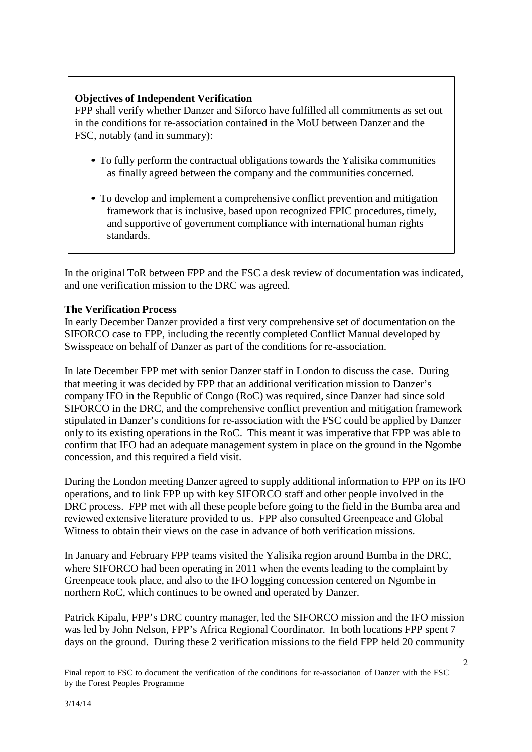## **Objectives of Independent Verification**

FPP shall verify whether Danzer and Siforco have fulfilled all commitments as set out in the conditions for re-association contained in the MoU between Danzer and the FSC, notably (and in summary):

- To fully perform the contractual obligations towards the Yalisika communities as finally agreed between the company and the communities concerned.
- To develop and implement a comprehensive conflict prevention and mitigation framework that is inclusive, based upon recognized FPIC procedures, timely, and supportive of government compliance with international human rights standards.

In the original ToR between FPP and the FSC a desk review of documentation was indicated, and one verification mission to the DRC was agreed.

## **The Verification Process**

In early December Danzer provided a first very comprehensive set of documentation on the SIFORCO case to FPP, including the recently completed Conflict Manual developed by Swisspeace on behalf of Danzer as part of the conditions for re-association.

In late December FPP met with senior Danzer staff in London to discuss the case. During that meeting it was decided by FPP that an additional verification mission to Danzer's company IFO in the Republic of Congo (RoC) was required, since Danzer had since sold SIFORCO in the DRC, and the comprehensive conflict prevention and mitigation framework stipulated in Danzer's conditions for re-association with the FSC could be applied by Danzer only to its existing operations in the RoC. This meant it was imperative that FPP was able to confirm that IFO had an adequate management system in place on the ground in the Ngombe concession, and this required a field visit.

During the London meeting Danzer agreed to supply additional information to FPP on its IFO operations, and to link FPP up with key SIFORCO staff and other people involved in the DRC process. FPP met with all these people before going to the field in the Bumba area and reviewed extensive literature provided to us. FPP also consulted Greenpeace and Global Witness to obtain their views on the case in advance of both verification missions.

In January and February FPP teams visited the Yalisika region around Bumba in the DRC, where SIFORCO had been operating in 2011 when the events leading to the complaint by Greenpeace took place, and also to the IFO logging concession centered on Ngombe in northern RoC, which continues to be owned and operated by Danzer.

Patrick Kipalu, FPP's DRC country manager, led the SIFORCO mission and the IFO mission was led by John Nelson, FPP's Africa Regional Coordinator. In both locations FPP spent 7 days on the ground. During these 2 verification missions to the field FPP held 20 community

Final report to FSC to document the verification of the conditions for re-association of Danzer with the FSC by the Forest Peoples Programme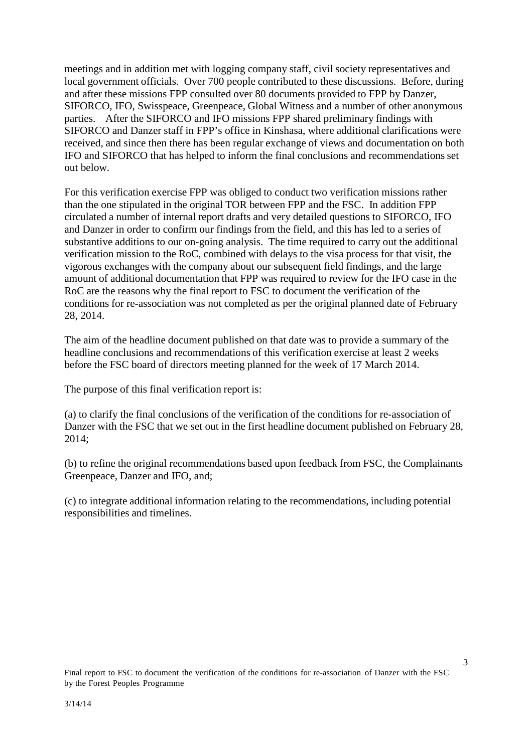meetings and in addition met with logging company staff, civil society representatives and local government officials. Over 700 people contributed to these discussions. Before, during and after these missions FPP consulted over 80 documents provided to FPP by Danzer, SIFORCO, IFO, Swisspeace, Greenpeace, Global Witness and a number of other anonymous parties. After the SIFORCO and IFO missions FPP shared preliminary findings with SIFORCO and Danzer staff in FPP's office in Kinshasa, where additional clarifications were received, and since then there has been regular exchange of views and documentation on both IFO and SIFORCO that has helped to inform the final conclusions and recommendations set out below.

For this verification exercise FPP was obliged to conduct two verification missions rather than the one stipulated in the original TOR between FPP and the FSC. In addition FPP circulated a number of internal report drafts and very detailed questions to SIFORCO, IFO and Danzer in order to confirm our findings from the field, and this has led to a series of substantive additions to our on-going analysis. The time required to carry out the additional verification mission to the RoC, combined with delays to the visa process for that visit, the vigorous exchanges with the company about our subsequent field findings, and the large amount of additional documentation that FPP was required to review for the IFO case in the RoC are the reasons why the final report to FSC to document the verification of the conditions for re-association was not completed as per the original planned date of February 28, 2014.

The aim of the headline document published on that date was to provide a summary of the headline conclusions and recommendations of this verification exercise at least 2 weeks before the FSC board of directors meeting planned for the week of 17 March 2014.

The purpose of this final verification report is:

(a) to clarify the final conclusions of the verification of the conditions for re-association of Danzer with the FSC that we set out in the first headline document published on February 28, 2014;

(b) to refine the original recommendations based upon feedback from FSC, the Complainants Greenpeace, Danzer and IFO, and;

(c) to integrate additional information relating to the recommendations, including potential responsibilities and timelines.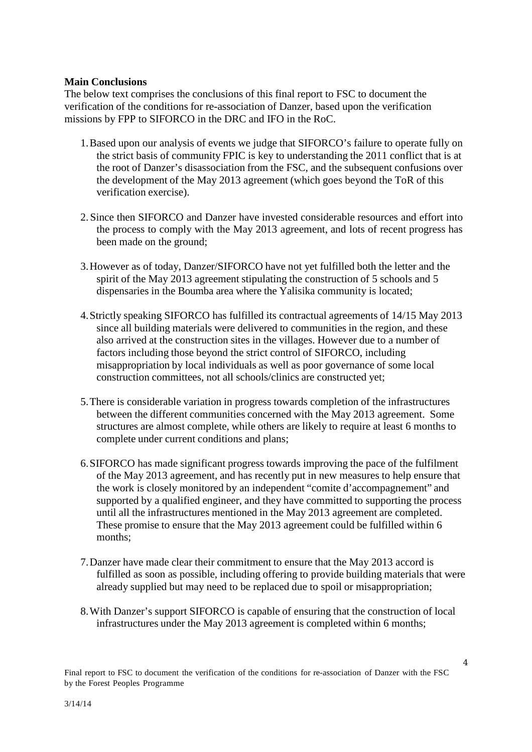#### **Main Conclusions**

The below text comprises the conclusions of this final report to FSC to document the verification of the conditions for re-association of Danzer, based upon the verification missions by FPP to SIFORCO in the DRC and IFO in the RoC.

- 1.Based upon our analysis of events we judge that SIFORCO's failure to operate fully on the strict basis of community FPIC is key to understanding the 2011 conflict that is at the root of Danzer's disassociation from the FSC, and the subsequent confusions over the development of the May 2013 agreement (which goes beyond the ToR of this verification exercise).
- 2. Since then SIFORCO and Danzer have invested considerable resources and effort into the process to comply with the May 2013 agreement, and lots of recent progress has been made on the ground;
- 3.However as of today, Danzer/SIFORCO have not yet fulfilled both the letter and the spirit of the May 2013 agreement stipulating the construction of 5 schools and 5 dispensaries in the Boumba area where the Yalisika community is located;
- 4.Strictly speaking SIFORCO has fulfilled its contractual agreements of 14/15 May 2013 since all building materials were delivered to communities in the region, and these also arrived at the construction sites in the villages. However due to a number of factors including those beyond the strict control of SIFORCO, including misappropriation by local individuals as well as poor governance of some local construction committees, not all schools/clinics are constructed yet;
- 5.There is considerable variation in progress towards completion of the infrastructures between the different communities concerned with the May 2013 agreement. Some structures are almost complete, while others are likely to require at least 6 months to complete under current conditions and plans;
- 6.SIFORCO has made significant progress towards improving the pace of the fulfilment of the May 2013 agreement, and has recently put in new measures to help ensure that the work is closely monitored by an independent "comite d'accompagnement" and supported by a qualified engineer, and they have committed to supporting the process until all the infrastructures mentioned in the May 2013 agreement are completed. These promise to ensure that the May 2013 agreement could be fulfilled within 6 months;
- 7.Danzer have made clear their commitment to ensure that the May 2013 accord is fulfilled as soon as possible, including offering to provide building materials that were already supplied but may need to be replaced due to spoil or misappropriation;
- 8.With Danzer's support SIFORCO is capable of ensuring that the construction of local infrastructures under the May 2013 agreement is completed within 6 months;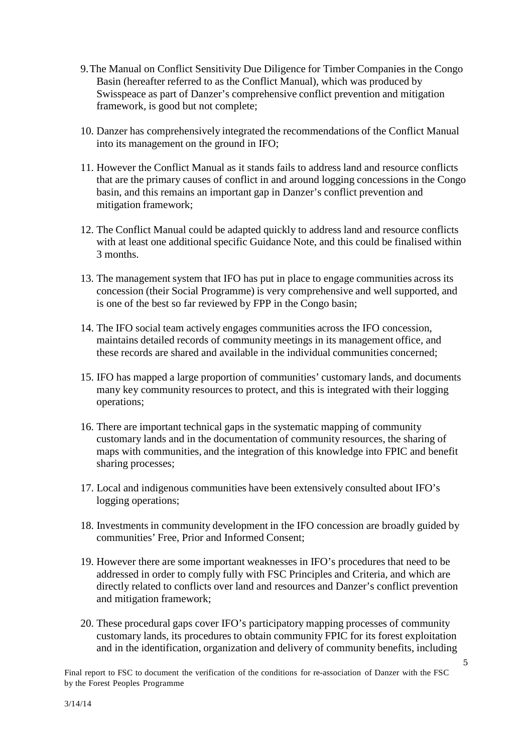- 9.The Manual on Conflict Sensitivity Due Diligence for Timber Companies in the Congo Basin (hereafter referred to as the Conflict Manual), which was produced by Swisspeace as part of Danzer's comprehensive conflict prevention and mitigation framework, is good but not complete;
- 10. Danzer has comprehensively integrated the recommendations of the Conflict Manual into its management on the ground in IFO;
- 11. However the Conflict Manual as it stands fails to address land and resource conflicts that are the primary causes of conflict in and around logging concessions in the Congo basin, and this remains an important gap in Danzer's conflict prevention and mitigation framework;
- 12. The Conflict Manual could be adapted quickly to address land and resource conflicts with at least one additional specific Guidance Note, and this could be finalised within 3 months.
- 13. The management system that IFO has put in place to engage communities across its concession (their Social Programme) is very comprehensive and well supported, and is one of the best so far reviewed by FPP in the Congo basin;
- 14. The IFO social team actively engages communities across the IFO concession, maintains detailed records of community meetings in its management office, and these records are shared and available in the individual communities concerned;
- 15. IFO has mapped a large proportion of communities' customary lands, and documents many key community resources to protect, and this is integrated with their logging operations;
- 16. There are important technical gaps in the systematic mapping of community customary lands and in the documentation of community resources, the sharing of maps with communities, and the integration of this knowledge into FPIC and benefit sharing processes;
- 17. Local and indigenous communities have been extensively consulted about IFO's logging operations;
- 18. Investments in community development in the IFO concession are broadly guided by communities' Free, Prior and Informed Consent;
- 19. However there are some important weaknesses in IFO's procedures that need to be addressed in order to comply fully with FSC Principles and Criteria, and which are directly related to conflicts over land and resources and Danzer's conflict prevention and mitigation framework;
- 20. These procedural gaps cover IFO's participatory mapping processes of community customary lands, its procedures to obtain community FPIC for its forest exploitation and in the identification, organization and delivery of community benefits, including

Final report to FSC to document the verification of the conditions for re-association of Danzer with the FSC by the Forest Peoples Programme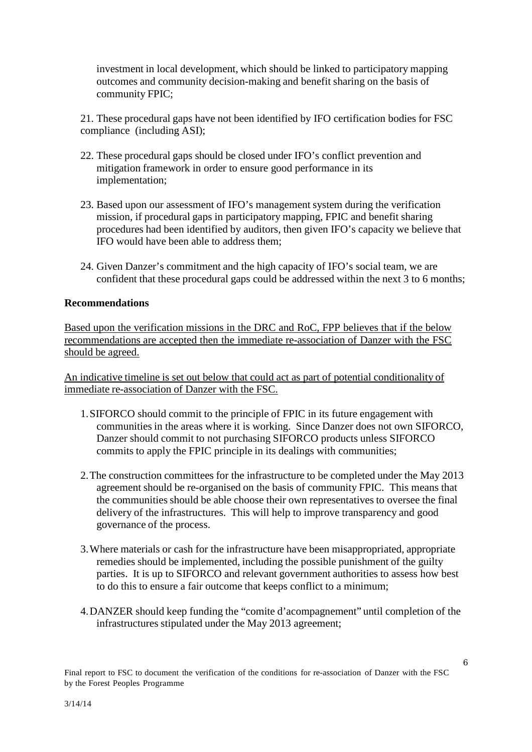investment in local development, which should be linked to participatory mapping outcomes and community decision-making and benefit sharing on the basis of community FPIC;

21. These procedural gaps have not been identified by IFO certification bodies for FSC compliance (including ASI);

- 22. These procedural gaps should be closed under IFO's conflict prevention and mitigation framework in order to ensure good performance in its implementation;
- 23. Based upon our assessment of IFO's management system during the verification mission, if procedural gaps in participatory mapping, FPIC and benefit sharing procedures had been identified by auditors, then given IFO's capacity we believe that IFO would have been able to address them;
- 24. Given Danzer's commitment and the high capacity of IFO's social team, we are confident that these procedural gaps could be addressed within the next 3 to 6 months;

#### **Recommendations**

Based upon the verification missions in the DRC and RoC, FPP believes that if the below recommendations are accepted then the immediate re-association of Danzer with the FSC should be agreed.

An indicative timeline is set out below that could act as part of potential conditionality of immediate re-association of Danzer with the FSC.

- 1.SIFORCO should commit to the principle of FPIC in its future engagement with communities in the areas where it is working. Since Danzer does not own SIFORCO, Danzer should commit to not purchasing SIFORCO products unless SIFORCO commits to apply the FPIC principle in its dealings with communities;
- 2.The construction committees for the infrastructure to be completed under the May 2013 agreement should be re-organised on the basis of community FPIC. This means that the communities should be able choose their own representatives to oversee the final delivery of the infrastructures. This will help to improve transparency and good governance of the process.
- 3.Where materials or cash for the infrastructure have been misappropriated, appropriate remedies should be implemented, including the possible punishment of the guilty parties. It is up to SIFORCO and relevant government authorities to assess how best to do this to ensure a fair outcome that keeps conflict to a minimum;
- 4.DANZER should keep funding the "comite d'acompagnement" until completion of the infrastructures stipulated under the May 2013 agreement;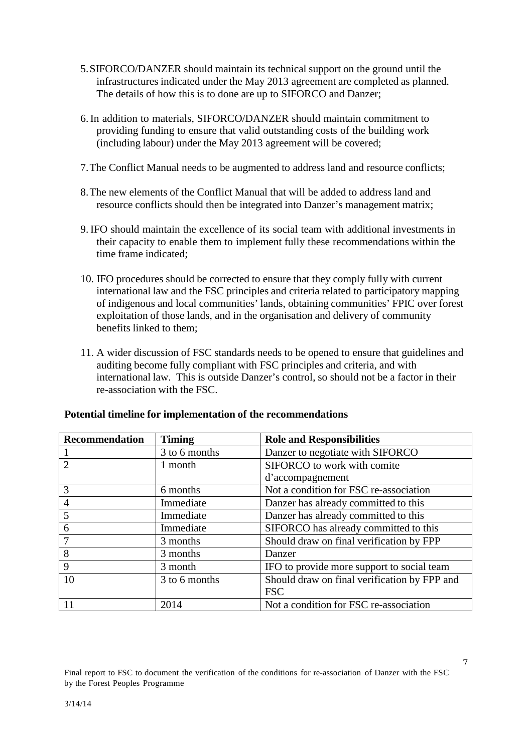- 5.SIFORCO/DANZER should maintain its technical support on the ground until the infrastructures indicated under the May 2013 agreement are completed as planned. The details of how this is to done are up to SIFORCO and Danzer;
- 6. In addition to materials, SIFORCO/DANZER should maintain commitment to providing funding to ensure that valid outstanding costs of the building work (including labour) under the May 2013 agreement will be covered;
- 7.The Conflict Manual needs to be augmented to address land and resource conflicts;
- 8.The new elements of the Conflict Manual that will be added to address land and resource conflicts should then be integrated into Danzer's management matrix;
- 9. IFO should maintain the excellence of its social team with additional investments in their capacity to enable them to implement fully these recommendations within the time frame indicated;
- 10. IFO procedures should be corrected to ensure that they comply fully with current international law and the FSC principles and criteria related to participatory mapping of indigenous and local communities' lands, obtaining communities' FPIC over forest exploitation of those lands, and in the organisation and delivery of community benefits linked to them;
- 11. A wider discussion of FSC standards needs to be opened to ensure that guidelines and auditing become fully compliant with FSC principles and criteria, and with international law. This is outside Danzer's control, so should not be a factor in their re-association with the FSC.

| <b>Recommendation</b> | <b>Timing</b> | <b>Role and Responsibilities</b>             |
|-----------------------|---------------|----------------------------------------------|
|                       | 3 to 6 months | Danzer to negotiate with SIFORCO             |
|                       | 1 month       | SIFORCO to work with comite                  |
|                       |               | d'accompagnement                             |
| 3                     | 6 months      | Not a condition for FSC re-association       |
| $\overline{4}$        | Immediate     | Danzer has already committed to this         |
| 5                     | Immediate     | Danzer has already committed to this         |
| 6                     | Immediate     | SIFORCO has already committed to this        |
|                       | 3 months      | Should draw on final verification by FPP     |
| 8                     | 3 months      | Danzer                                       |
| 9                     | 3 month       | IFO to provide more support to social team   |
| 10                    | 3 to 6 months | Should draw on final verification by FPP and |
|                       |               | <b>FSC</b>                                   |
| 11                    | 2014          | Not a condition for FSC re-association       |

### **Potential timeline for implementation of the recommendations**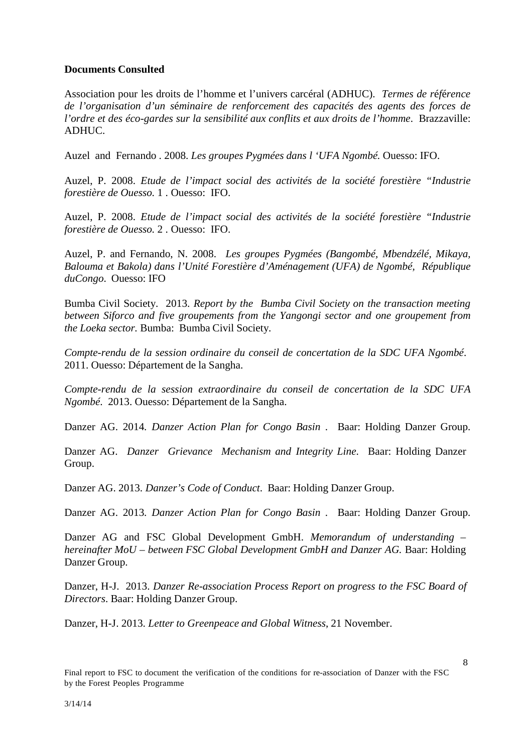## **Documents Consulted**

Association pour les droits de l'homme et l'univers carcéral (ADHUC). *Termes de r*é*f*é*rence de l'organisation d'un s*é*minaire de renforcement des capacités des agents des forces de l'ordre et des éco-gardes sur la sensibilité aux conflits et aux droits de l'homme*. Brazzaville: ADHUC.

Auzel and Fernando . 2008. *Les groupes Pygmées dans l 'UFA Ngombé.* Ouesso: IFO.

Auzel, P. 2008. *Etude de l'impact social des activités de la société forestière "Industrie forestière de Ouesso.* 1 . Ouesso: IFO.

Auzel, P. 2008. *Etude de l'impact social des activités de la société forestière "Industrie forestière de Ouesso.* 2 . Ouesso: IFO.

Auzel, P. and Fernando, N. 2008. *Les groupes Pygmées (Bangombé, Mbendzélé, Mikaya, Balouma et Bakola) dans l'Unité Forestière d'Aménagement (UFA) de Ngombé, République duCongo*. Ouesso: IFO

Bumba Civil Society. 2013. *Report by the Bumba Civil Society on the transaction meeting between Siforco and five groupements from the Yangongi sector and one groupement from the Loeka sector.* Bumba: Bumba Civil Society.

*Compte-rendu de la session ordinaire du conseil de concertation de la SDC UFA Ngombé*. 2011. Ouesso: Département de la Sangha.

*Compte-rendu de la session extraordinaire du conseil de concertation de la SDC UFA Ngombé*. 2013. Ouesso: Département de la Sangha.

Danzer AG. 2014*. Danzer Action Plan for Congo Basin* . Baar: Holding Danzer Group.

Danzer AG. *Danzer Grievance Mechanism and Integrity Line*. Baar: Holding Danzer Group.

Danzer AG. 2013. *Danzer's Code of Conduct*. Baar: Holding Danzer Group.

Danzer AG. 2013*. Danzer Action Plan for Congo Basin* . Baar: Holding Danzer Group.

Danzer AG and FSC Global Development GmbH. *Memorandum of understanding – hereinafter MoU – between FSC Global Development GmbH and Danzer AG.* Baar: Holding Danzer Group.

Danzer, H-J. 2013. *Danzer Re-association Process Report on progress to the FSC Board of Directors*. Baar: Holding Danzer Group.

Danzer, H-J. 2013. *Letter to Greenpeace and Global Witness*, 21 November.

Final report to FSC to document the verification of the conditions for re-association of Danzer with the FSC by the Forest Peoples Programme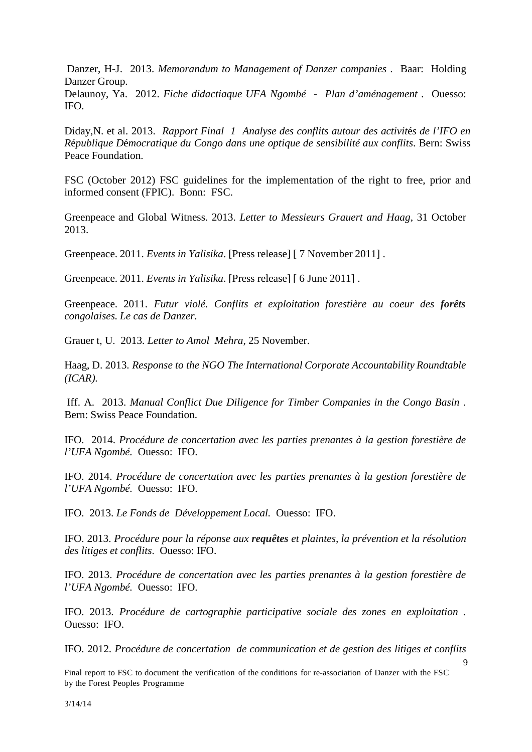Danzer, H-J. 2013. *Memorandum to Management of Danzer companies* . Baar: Holding Danzer Group.

Delaunoy, Ya. 2012. *Fiche didactiaque UFA Ngombé - Plan d'aménagement* . Ouesso: IFO.

Diday,N. et al. 2013. *Rapport Final 1 Analyse des conflits autour des activit*é*s de l'IFO en R*é*publique D*é*mocratique du Congo dans une optique de sensibilité aux conflits*. Bern: Swiss Peace Foundation.

FSC (October 2012) FSC guidelines for the implementation of the right to free, prior and informed consent (FPIC). Bonn: FSC.

Greenpeace and Global Witness. 2013. *Letter to Messieurs Grauert and Haag*, 31 October 2013.

Greenpeace. 2011. *Events in Yalisika*. [Press release] [ 7 November 2011] .

Greenpeace. 2011. *Events in Yalisika*. [Press release] [ 6 June 2011] .

Greenpeace. 2011. *Futur violé. Conflits et exploitation forestière au coeur des forêts congolaises. Le cas de Danzer.*

Grauer t, U. 2013. *Letter to Amol Mehra*, 25 November.

Haag, D. 2013. *Response to the NGO The International Corporate Accountability Roundtable (ICAR).*

Iff. A. 2013. *Manual Conflict Due Diligence for Timber Companies in the Congo Basin* . Bern: Swiss Peace Foundation.

IFO. 2014. *Procédure de concertation avec les parties prenantes à la gestion forestière de l'UFA Ngombé.* Ouesso: IFO.

IFO. 2014. *Procédure de concertation avec les parties prenantes à la gestion forestière de l'UFA Ngombé.* Ouesso: IFO.

IFO. 2013. *Le Fonds de Développement Local.* Ouesso: IFO.

IFO. 2013. *Procédure pour la réponse aux requêtes et plaintes, la prévention et la résolution des litiges et conflits*. Ouesso: IFO.

IFO. 2013. *Procédure de concertation avec les parties prenantes à la gestion forestière de l'UFA Ngombé.* Ouesso: IFO.

IFO. 2013. *Procédure de cartographie participative sociale des zones en exploitation .* Ouesso: IFO.

IFO. 2012. *Procédure de concertation de communication et de gestion des litiges et conflits* 

 $\mathbf{q}$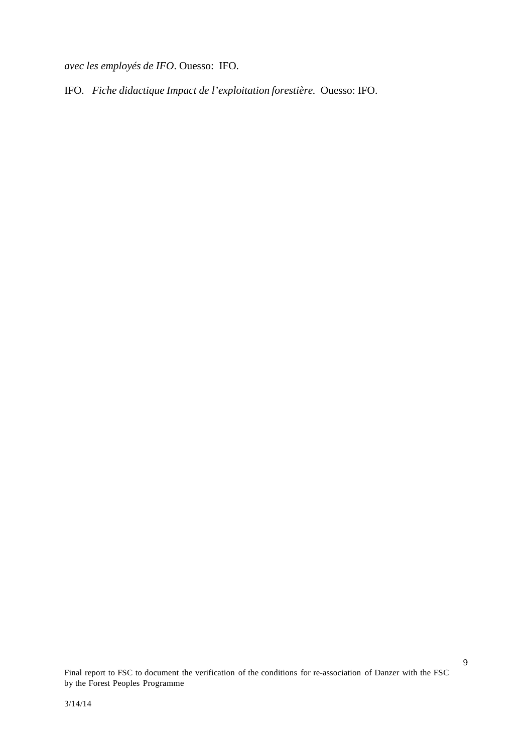*avec les employés de IFO*. Ouesso: IFO.

IFO. *Fiche didactique Impact de l'exploitation forestière.* Ouesso: IFO.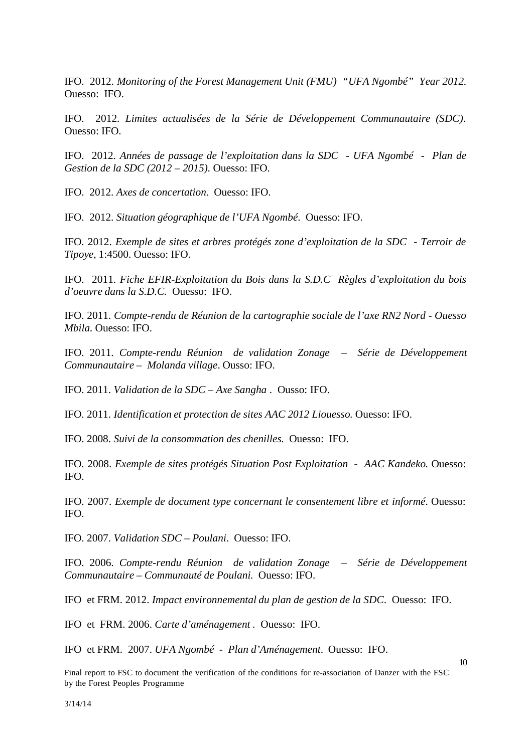IFO. 2012. *Monitoring of the Forest Management Unit (FMU) "UFA Ngombé" Year 2012.* Ouesso: IFO.

IFO. 2012. *Limites actualisées de la Série de Développement Communautaire (SDC)*. Ouesso: IFO.

IFO. 2012. *Années de passage de l'exploitation dans la SDC - UFA Ngombé - Plan de Gestion de la SDC (2012 – 2015)*. Ouesso: IFO.

IFO. 2012. *Axes de concertation*. Ouesso: IFO.

IFO. 2012. *Situation géographique de l'UFA Ngombé*. Ouesso: IFO.

IFO. 2012. *Exemple de sites et arbres protégés zone d'exploitation de la SDC - Terroir de Tipoye*, 1:4500. Ouesso: IFO.

IFO. 2011. *Fiche EFIR-Exploitation du Bois dans la S.D.C Règles d'exploitation du bois d'oeuvre dans la S.D.C.* Ouesso: IFO.

IFO. 2011. *Compte-rendu de Réunion de la cartographie sociale de l'axe RN2 Nord - Ouesso Mbila.* Ouesso: IFO.

IFO. 2011. *Compte-rendu Réunion de validation Zonage – Série de Développement Communautaire – Molanda village*. Ousso: IFO.

IFO. 2011. *Validation de la SDC – Axe Sangha* . Ousso: IFO.

IFO. 2011. *Identification et protection de sites AAC 2012 Liouesso.* Ouesso: IFO.

IFO. 2008. *Suivi de la consommation des chenilles.* Ouesso: IFO.

IFO. 2008. *Exemple de sites protégés Situation Post Exploitation - AAC Kandeko.* Ouesso: IFO.

IFO. 2007. *Exemple de document type concernant le consentement libre et informé*. Ouesso: IFO.

IFO. 2007. *Validation SDC – Poulani*. Ouesso: IFO.

IFO. 2006. *Compte-rendu Réunion de validation Zonage – Série de Développement Communautaire – Communauté de Poulani.* Ouesso: IFO.

IFO et FRM. 2012. *Impact environnemental du plan de gestion de la SDC*. Ouesso: IFO.

IFO et FRM. 2006. *Carte d'aménagement* . Ouesso: IFO.

IFO et FRM. 2007. *UFA Ngombé - Plan d'Aménagement*. Ouesso: IFO.

10

Final report to FSC to document the verification of the conditions for re-association of Danzer with the FSC by the Forest Peoples Programme

3/14/14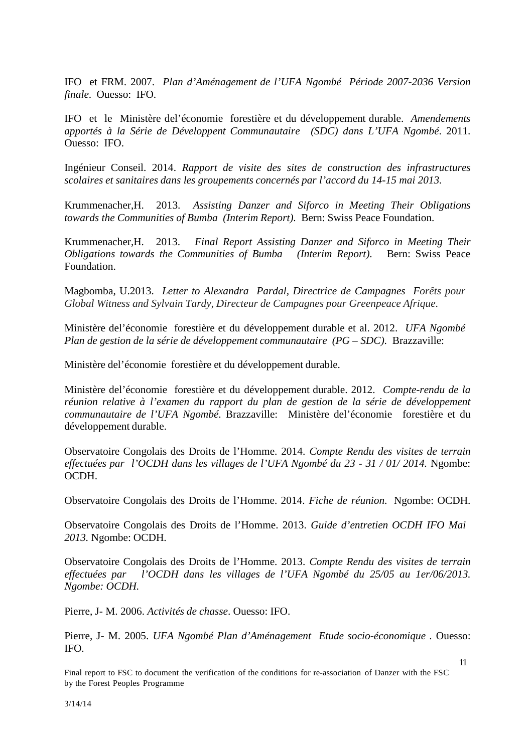IFO et FRM. 2007. *Plan d'Aménagement de l'UFA Ngombé Période 2007-2036 Version finale*. Ouesso: IFO.

IFO et le Ministère del'économie forestière et du développement durable. *Amendements apportés à la Série de Développent Communautaire (SDC) dans L'UFA Ngombé*. 2011. Ouesso: IFO.

Ingénieur Conseil. 2014. *Rapport de visite des sites de construction des infrastructures scolaires et sanitaires dans les groupements concernés par l'accord du 14-15 mai 2013.*

Krummenacher,H. 2013. *Assisting Danzer and Siforco in Meeting Their Obligations towards the Communities of Bumba (Interim Report)*. Bern: Swiss Peace Foundation.

Krummenacher,H. 2013. *Final Report Assisting Danzer and Siforco in Meeting Their Obligations towards the Communities of Bumba (Interim Report)*. Bern: Swiss Peace Foundation.

Magbomba, U.2013. *Letter to Alexandra Pardal, Directrice de Campagnes Forêts pour Global Witness and Sylvain Tardy, Directeur de Campagnes pour Greenpeace Afrique*.

Ministère del'économie forestière et du développement durable et al. 2012. *UFA Ngombé Plan de gestion de la série de développement communautaire (PG – SDC)*. Brazzaville:

Ministère del'économie forestière et du développement durable.

Ministère del'économie forestière et du développement durable. 2012. *Compte-rendu de la réunion relative à l'examen du rapport du plan de gestion de la série de développement communautaire de l'UFA Ngombé*. Brazzaville: Ministère del'économie forestière et du développement durable.

Observatoire Congolais des Droits de l'Homme. 2014. *Compte Rendu des visites de terrain effectuées par l'OCDH dans les villages de l'UFA Ngombé du 23 - 31 / 01/ 2014.* Ngombe: OCDH.

Observatoire Congolais des Droits de l'Homme. 2014. *Fiche de réunion.* Ngombe: OCDH.

Observatoire Congolais des Droits de l'Homme. 2013. *Guide d'entretien OCDH IFO Mai 2013.* Ngombe: OCDH.

Observatoire Congolais des Droits de l'Homme. 2013. *Compte Rendu des visites de terrain effectuées par l'OCDH dans les villages de l'UFA Ngombé du 25/05 au 1er/06/2013. Ngombe: OCDH.*

Pierre, J- M. 2006. *Activités de chasse*. Ouesso: IFO.

Pierre, J- M. 2005. *UFA Ngombé Plan d'Aménagement Etude socio-économique* . Ouesso: IFO.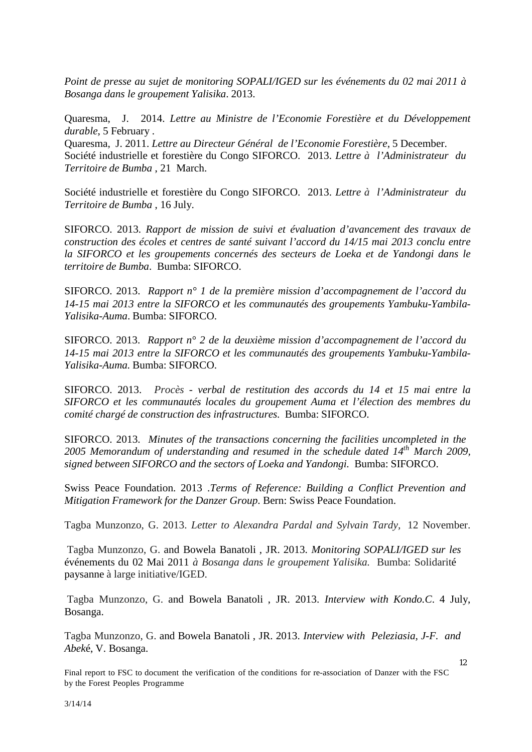*Point de presse au sujet de monitoring SOPALI/IGED sur les événements du 02 mai 2011 à Bosanga dans le groupement Yalisika*. 2013.

Quaresma, J. 2014. *Lettre au Ministre de l'Economie Forestière et du Développement durable*, 5 February . Quaresma, J. 2011. *Lettre au Directeur Général de l'Economie Forestière*, 5 December.

Société industrielle et forestière du Congo SIFORCO. 2013. *Lettre à l'Administrateur du Territoire de Bumba* , 21 March.

Société industrielle et forestière du Congo SIFORCO. 2013. *Lettre à l'Administrateur du Territoire de Bumba* , 16 July.

SIFORCO. 2013. *Rapport de mission de suivi et évaluation d'avancement des travaux de construction des écoles et centres de santé suivant l'accord du 14/15 mai 2013 conclu entre la SIFORCO et les groupements concernés des secteurs de Loeka et de Yandongi dans le territoire de Bumba*. Bumba: SIFORCO.

SIFORCO. 2013. *Rapport n° 1 de la première mission d'accompagnement de l'accord du 14-15 mai 2013 entre la SIFORCO et les communautés des groupements Yambuku-Yambila-Yalisika-Auma*. Bumba: SIFORCO.

SIFORCO. 2013. *Rapport n° 2 de la deuxième mission d'accompagnement de l'accord du 14-15 mai 2013 entre la SIFORCO et les communautés des groupements Yambuku-Yambila-Yalisika-Auma.* Bumba: SIFORCO.

SIFORCO. 2013. *Procès - verbal de restitution des accords du 14 et 15 mai entre la SIFORCO et les communautés locales du groupement Auma et l'élection des membres du comité chargé de construction des infrastructures.* Bumba: SIFORCO.

SIFORCO. 2013. *Minutes of the transactions concerning the facilities uncompleted in the 2005 Memorandum of understanding and resumed in the schedule dated*  $14^{th}$  *March 2009, signed between SIFORCO and the sectors of Loeka and Yandongi.* Bumba: SIFORCO.

Swiss Peace Foundation. 2013 .*Terms of Reference: Building a Conflict Prevention and Mitigation Framework for the Danzer Group*. Bern: Swiss Peace Foundation.

Tagba Munzonzo, G. 2013. *Letter to Alexandra Pardal and Sylvain Tardy,* 12 November.

Tagba Munzonzo, G. and Bowela Banatoli , JR. 2013. *Monitoring SOPALI/IGED sur les* événements du 02 Mai 2011 *à Bosanga dans le groupement Yalisika.* Bumba: Solidarité paysanne à large initiative/IGED.

Tagba Munzonzo, G. and Bowela Banatoli , JR. 2013. *Interview with Kondo.C*. 4 July, Bosanga.

Tagba Munzonzo, G. and Bowela Banatoli , JR. 2013. *Interview with Peleziasia, J-F. and Abek*é, V. Bosanga.

12